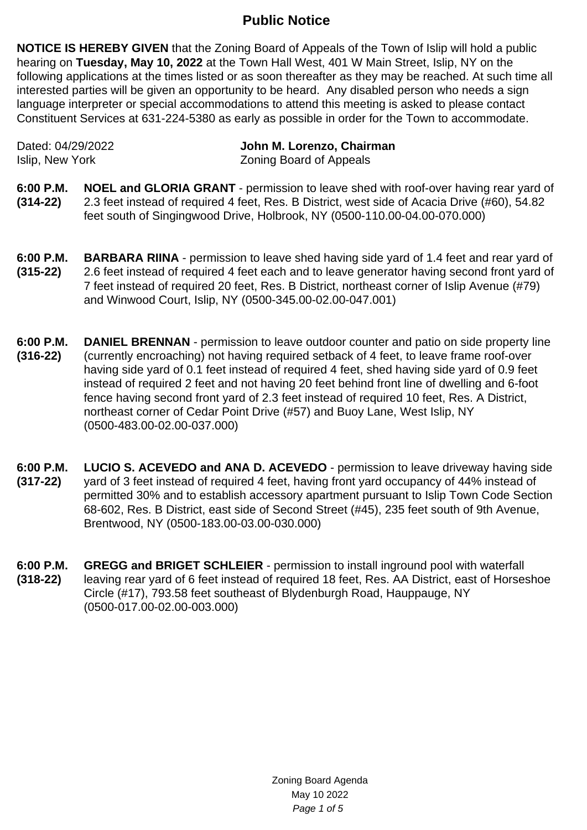## **Public Notice**

**NOTICE IS HEREBY GIVEN** that the Zoning Board of Appeals of the Town of Islip will hold a public hearing on **Tuesday, May 10, 2022** at the Town Hall West, 401 W Main Street, Islip, NY on the following applications at the times listed or as soon thereafter as they may be reached. At such time all interested parties will be given an opportunity to be heard. Any disabled person who needs a sign language interpreter or special accommodations to attend this meeting is asked to please contact Constituent Services at 631-224-5380 as early as possible in order for the Town to accommodate.

| Dated: 04/29/2022 | John M. Lorenzo, Chairman      |
|-------------------|--------------------------------|
| Islip, New York   | <b>Zoning Board of Appeals</b> |

- **6:00 P.M. (314-22) NOEL and GLORIA GRANT** - permission to leave shed with roof-over having rear yard of 2.3 feet instead of required 4 feet, Res. B District, west side of Acacia Drive (#60), 54.82 feet south of Singingwood Drive, Holbrook, NY (0500-110.00-04.00-070.000)
- **6:00 P.M. (315-22) BARBARA RIINA** - permission to leave shed having side yard of 1.4 feet and rear yard of 2.6 feet instead of required 4 feet each and to leave generator having second front yard of 7 feet instead of required 20 feet, Res. B District, northeast corner of Islip Avenue (#79) and Winwood Court, Islip, NY (0500-345.00-02.00-047.001)
- **6:00 P.M. (316-22) DANIEL BRENNAN** - permission to leave outdoor counter and patio on side property line (currently encroaching) not having required setback of 4 feet, to leave frame roof-over having side yard of 0.1 feet instead of required 4 feet, shed having side yard of 0.9 feet instead of required 2 feet and not having 20 feet behind front line of dwelling and 6-foot fence having second front yard of 2.3 feet instead of required 10 feet, Res. A District, northeast corner of Cedar Point Drive (#57) and Buoy Lane, West Islip, NY (0500-483.00-02.00-037.000)
- **6:00 P.M. (317-22) LUCIO S. ACEVEDO and ANA D. ACEVEDO** - permission to leave driveway having side yard of 3 feet instead of required 4 feet, having front yard occupancy of 44% instead of permitted 30% and to establish accessory apartment pursuant to Islip Town Code Section 68-602, Res. B District, east side of Second Street (#45), 235 feet south of 9th Avenue, Brentwood, NY (0500-183.00-03.00-030.000)
- **6:00 P.M. (318-22) GREGG and BRIGET SCHLEIER** - permission to install inground pool with waterfall leaving rear yard of 6 feet instead of required 18 feet, Res. AA District, east of Horseshoe Circle (#17), 793.58 feet southeast of Blydenburgh Road, Hauppauge, NY (0500-017.00-02.00-003.000)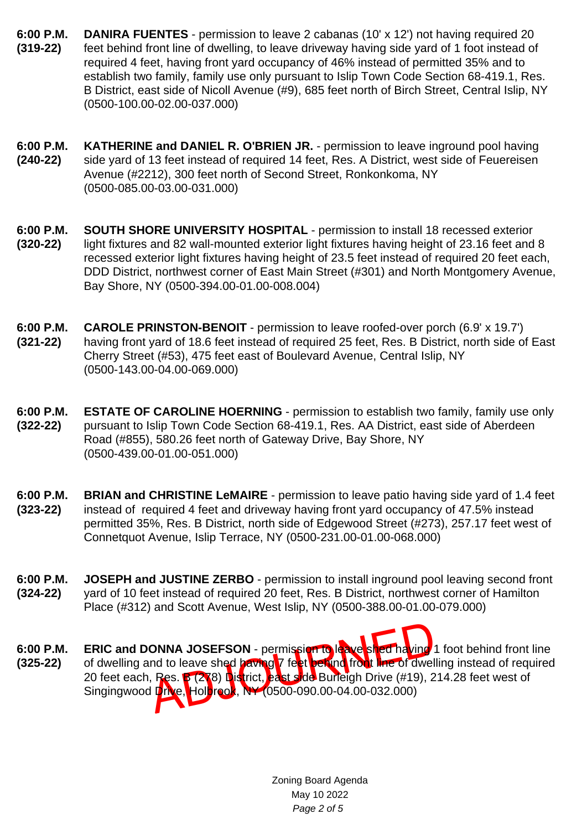- **6:00 P.M. (319-22) DANIRA FUENTES** - permission to leave 2 cabanas (10' x 12') not having required 20 feet behind front line of dwelling, to leave driveway having side yard of 1 foot instead of required 4 feet, having front yard occupancy of 46% instead of permitted 35% and to establish two family, family use only pursuant to Islip Town Code Section 68-419.1, Res. B District, east side of Nicoll Avenue (#9), 685 feet north of Birch Street, Central Islip, NY (0500-100.00-02.00-037.000)
- **6:00 P.M. (240-22) KATHERINE and DANIEL R. O'BRIEN JR. - permission to leave inground pool having** side yard of 13 feet instead of required 14 feet, Res. A District, west side of Feuereisen Avenue (#2212), 300 feet north of Second Street, Ronkonkoma, NY (0500-085.00-03.00-031.000)
- **6:00 P.M. (320-22) SOUTH SHORE UNIVERSITY HOSPITAL** - permission to install 18 recessed exterior light fixtures and 82 wall-mounted exterior light fixtures having height of 23.16 feet and 8 recessed exterior light fixtures having height of 23.5 feet instead of required 20 feet each, DDD District, northwest corner of East Main Street (#301) and North Montgomery Avenue, Bay Shore, NY (0500-394.00-01.00-008.004)
- **6:00 P.M. (321-22) CAROLE PRINSTON-BENOIT** - permission to leave roofed-over porch (6.9' x 19.7') having front yard of 18.6 feet instead of required 25 feet, Res. B District, north side of East Cherry Street (#53), 475 feet east of Boulevard Avenue, Central Islip, NY (0500-143.00-04.00-069.000)
- **6:00 P.M. (322-22) ESTATE OF CAROLINE HOERNING** - permission to establish two family, family use only pursuant to Islip Town Code Section 68-419.1, Res. AA District, east side of Aberdeen Road (#855), 580.26 feet north of Gateway Drive, Bay Shore, NY (0500-439.00-01.00-051.000)
- **6:00 P.M. (323-22) BRIAN and CHRISTINE LeMAIRE** - permission to leave patio having side yard of 1.4 feet instead of required 4 feet and driveway having front yard occupancy of 47.5% instead permitted 35%, Res. B District, north side of Edgewood Street (#273), 257.17 feet west of Connetquot Avenue, Islip Terrace, NY (0500-231.00-01.00-068.000)
- **6:00 P.M. (324-22) JOSEPH and JUSTINE ZERBO** - permission to install inground pool leaving second front yard of 10 feet instead of required 20 feet, Res. B District, northwest corner of Hamilton Place (#312) and Scott Avenue, West Islip, NY (0500-388.00-01.00-079.000)
- ONNA JOSEFSON permission to leave shed having<br>Ind to leave shed having 7 feet between from the of dwel<br>Res. B (278) District, east side Burleigh Drive (#19), 2<br>I Drive, Holdroot, NY (0500-090.00-04.00-032.000) **6:00 P.M. (325-22) ERIC and DONNA JOSEFSON** - permission to leave shed having 1 foot behind front line of dwelling and to leave shed having 7 feet behind front line of dwelling instead of required 20 feet each, Res. B (278) District, east side Burleigh Drive (#19), 214.28 feet west of Singingwood Drive, Holbrook, NY (0500-090.00-04.00-032.000)

Zoning Board Agenda May 10 2022 Page 2 of 5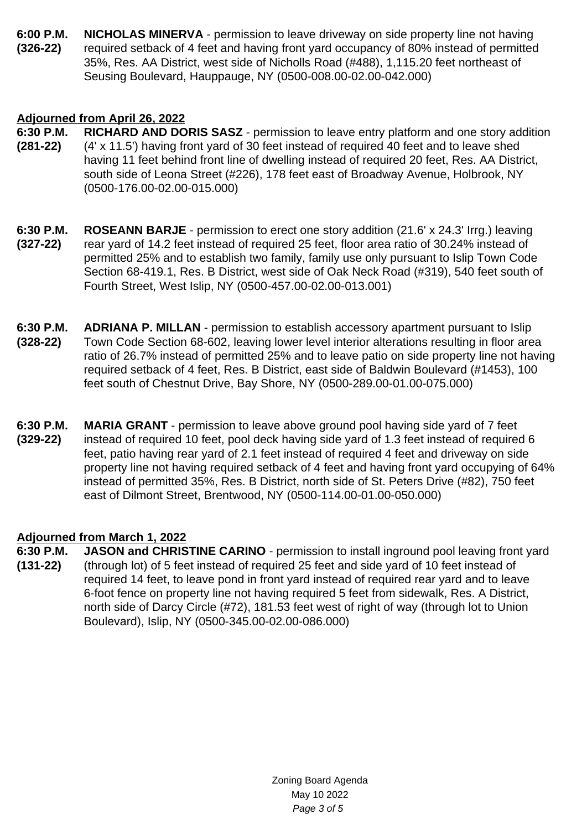**6:00 P.M. (326-22) NICHOLAS MINERVA** - permission to leave driveway on side property line not having required setback of 4 feet and having front yard occupancy of 80% instead of permitted 35%, Res. AA District, west side of Nicholls Road (#488), 1,115.20 feet northeast of Seusing Boulevard, Hauppauge, NY (0500-008.00-02.00-042.000)

## **Adjourned from April 26, 2022**

- **6:30 P.M. (281-22) RICHARD AND DORIS SASZ** - permission to leave entry platform and one story addition (4' x 11.5') having front yard of 30 feet instead of required 40 feet and to leave shed having 11 feet behind front line of dwelling instead of required 20 feet, Res. AA District, south side of Leona Street (#226), 178 feet east of Broadway Avenue, Holbrook, NY (0500-176.00-02.00-015.000)
- **6:30 P.M. (327-22) ROSEANN BARJE** - permission to erect one story addition (21.6' x 24.3' Irrg.) leaving rear yard of 14.2 feet instead of required 25 feet, floor area ratio of 30.24% instead of permitted 25% and to establish two family, family use only pursuant to Islip Town Code Section 68-419.1, Res. B District, west side of Oak Neck Road (#319), 540 feet south of Fourth Street, West Islip, NY (0500-457.00-02.00-013.001)
- **6:30 P.M. (328-22) ADRIANA P. MILLAN** - permission to establish accessory apartment pursuant to Islip Town Code Section 68-602, leaving lower level interior alterations resulting in floor area ratio of 26.7% instead of permitted 25% and to leave patio on side property line not having required setback of 4 feet, Res. B District, east side of Baldwin Boulevard (#1453), 100 feet south of Chestnut Drive, Bay Shore, NY (0500-289.00-01.00-075.000)
- **6:30 P.M. (329-22) MARIA GRANT** - permission to leave above ground pool having side yard of 7 feet instead of required 10 feet, pool deck having side yard of 1.3 feet instead of required 6 feet, patio having rear yard of 2.1 feet instead of required 4 feet and driveway on side property line not having required setback of 4 feet and having front yard occupying of 64% instead of permitted 35%, Res. B District, north side of St. Peters Drive (#82), 750 feet east of Dilmont Street, Brentwood, NY (0500-114.00-01.00-050.000)

## **Adjourned from March 1, 2022**

**6:30 P.M. (131-22) JASON and CHRISTINE CARINO** - permission to install inground pool leaving front yard (through lot) of 5 feet instead of required 25 feet and side yard of 10 feet instead of required 14 feet, to leave pond in front yard instead of required rear yard and to leave 6-foot fence on property line not having required 5 feet from sidewalk, Res. A District, north side of Darcy Circle (#72), 181.53 feet west of right of way (through lot to Union Boulevard), Islip, NY (0500-345.00-02.00-086.000)

> Zoning Board Agenda May 10 2022 Page 3 of 5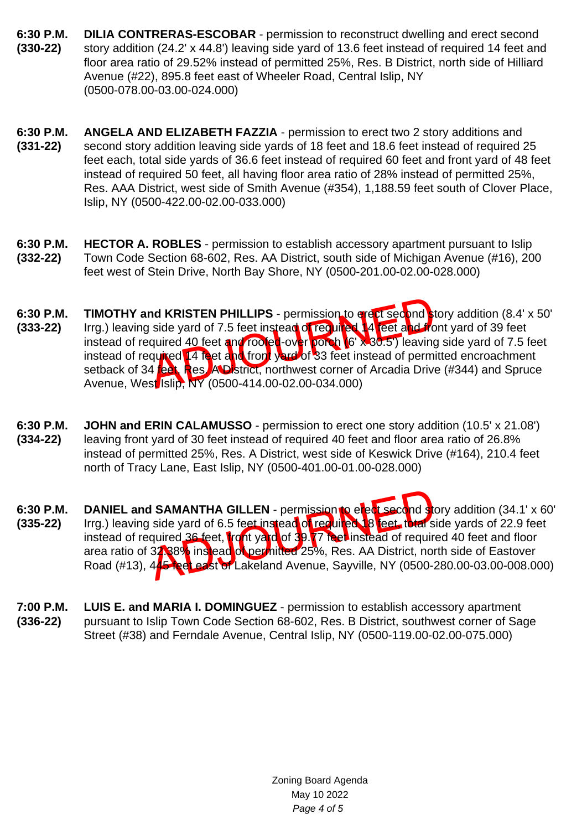- **6:30 P.M. (330-22) DILIA CONTRERAS-ESCOBAR** - permission to reconstruct dwelling and erect second story addition (24.2' x 44.8') leaving side yard of 13.6 feet instead of required 14 feet and floor area ratio of 29.52% instead of permitted 25%, Res. B District, north side of Hilliard Avenue (#22), 895.8 feet east of Wheeler Road, Central Islip, NY (0500-078.00-03.00-024.000)
- **6:30 P.M. (331-22) ANGELA AND ELIZABETH FAZZIA** - permission to erect two 2 story additions and second story addition leaving side yards of 18 feet and 18.6 feet instead of required 25 feet each, total side yards of 36.6 feet instead of required 60 feet and front yard of 48 feet instead of required 50 feet, all having floor area ratio of 28% instead of permitted 25%, Res. AAA District, west side of Smith Avenue (#354), 1,188.59 feet south of Clover Place, Islip, NY (0500-422.00-02.00-033.000)
- **6:30 P.M. (332-22) HECTOR A. ROBLES** - permission to establish accessory apartment pursuant to Islip Town Code Section 68-602, Res. AA District, south side of Michigan Avenue (#16), 200 feet west of Stein Drive, North Bay Shore, NY (0500-201.00-02.00-028.000)
- nd KRISTEN PHILLIPS permission to evert second<br>side yard of 7.5 feet instead of required 49 feet and required 40 feet and rooter-over porch 16' x 30.5') leaving<br>quired 14 feet and from year of 33 feet instead of perm<br>4 f **6:30 P.M. (333-22) TIMOTHY and KRISTEN PHILLIPS** - permission to erect second story addition (8.4' x 50' Irrg.) leaving side yard of 7.5 feet instead of required 14 feet and front yard of 39 feet instead of required 40 feet and roofed-over porch (6' x 30.5') leaving side yard of 7.5 feet instead of required 14 feet and front yard of 33 feet instead of permitted encroachment setback of 34 feet, Res. A District, northwest corner of Arcadia Drive (#344) and Spruce Avenue, West Islip, NY (0500-414.00-02.00-034.000)
- **6:30 P.M. (334-22) JOHN and ERIN CALAMUSSO** - permission to erect one story addition (10.5' x 21.08') leaving front yard of 30 feet instead of required 40 feet and floor area ratio of 26.8% instead of permitted 25%, Res. A District, west side of Keswick Drive (#164), 210.4 feet north of Tracy Lane, East Islip, NY (0500-401.00-01.00-028.000)
- **SAMANTHA GILLEN** permission to elect second straight side yard of 6.5 feet instead of required 8 feet, total squired 36 feet, total squired 36 feet, to and of 39. 7 is elimited 8 feet, total squired 37.88% instead of pe **6:30 P.M. (335-22) DANIEL and SAMANTHA GILLEN** - permission to elect second story addition (34.1' x 60' Irrg.) leaving side yard of 6.5 feet instead of required 18 feet, total side yards of 22.9 feet instead of required 36 feet, tront yard of 39.77 reet instead of required 40 feet and floor area ratio of 32.88% instead of permitted 25%, Res. AA District, north side of Eastover Road (#13), 445 feet east of Lakeland Avenue, Sayville, NY (0500-280.00-03.00-008.000)
- **7:00 P.M. (336-22) LUIS E. and MARIA I. DOMINGUEZ** - permission to establish accessory apartment pursuant to Islip Town Code Section 68-602, Res. B District, southwest corner of Sage Street (#38) and Ferndale Avenue, Central Islip, NY (0500-119.00-02.00-075.000)

Zoning Board Agenda May 10 2022 Page 4 of 5